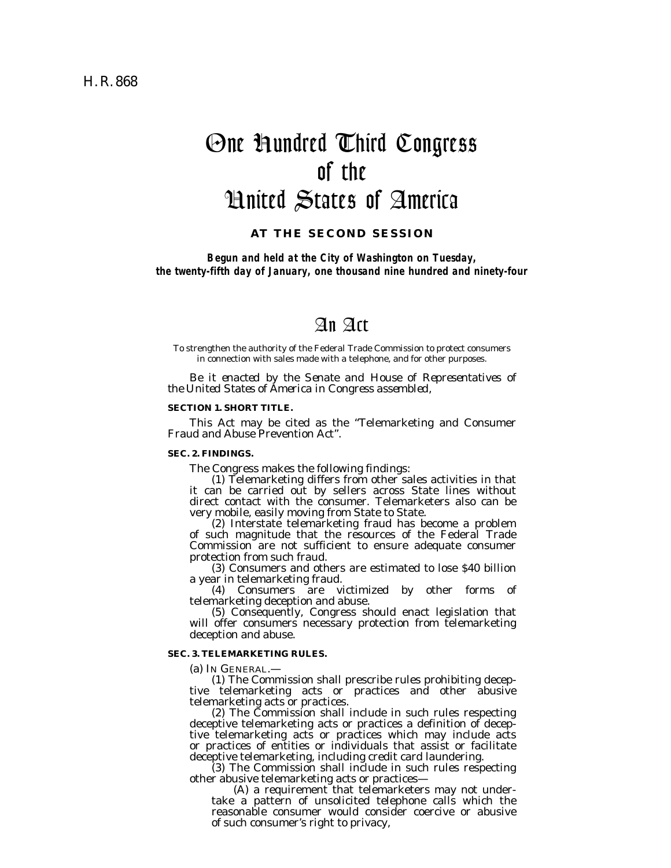# One Hundred Third Congress of the United States of America

# **AT THE SECOND SESSION**

*Begun and held at the City of Washington on Tuesday, the twenty-fifth day of January, one thousand nine hundred and ninety-four*

# An Act

To strengthen the authority of the Federal Trade Commission to protect consumers in connection with sales made with a telephone, and for other purposes.

*Be it enacted by the Senate and House of Representatives of the United States of America in Congress assembled,*

#### **SECTION 1. SHORT TITLE.**

This Act may be cited as the ''Telemarketing and Consumer Fraud and Abuse Prevention Act''.

#### **SEC. 2. FINDINGS.**

The Congress makes the following findings:

(1) Telemarketing differs from other sales activities in that it can be carried out by sellers across State lines without direct contact with the consumer. Telemarketers also can be very mobile, easily moving from State to State.

(2) Interstate telemarketing fraud has become a problem of such magnitude that the resources of the Federal Trade Commission are not sufficient to ensure adequate consumer protection from such fraud.

(3) Consumers and others are estimated to lose \$40 billion a year in telemarketing fraud.

(4) Consumers are victimized by other forms of telemarketing deception and abuse.

(5) Consequently, Congress should enact legislation that will offer consumers necessary protection from telemarketing deception and abuse.

#### **SEC. 3. TELEMARKETING RULES.**

(a) IN GENERAL.—

(1) The Commission shall prescribe rules prohibiting deceptive telemarketing acts or practices and other abusive

 $(2)$  The Commission shall include in such rules respecting deceptive telemarketing acts or practices a definition of deceptive telemarketing acts or practices which may include acts or practices of entities or individuals that assist or facilitate deceptive telemarketing, including credit card laundering.

(3) The Commission shall include in such rules respecting other abusive telemarketing acts or practices—

(A) a requirement that telemarketers may not undertake a pattern of unsolicited telephone calls which the reasonable consumer would consider coercive or abusive of such consumer's right to privacy,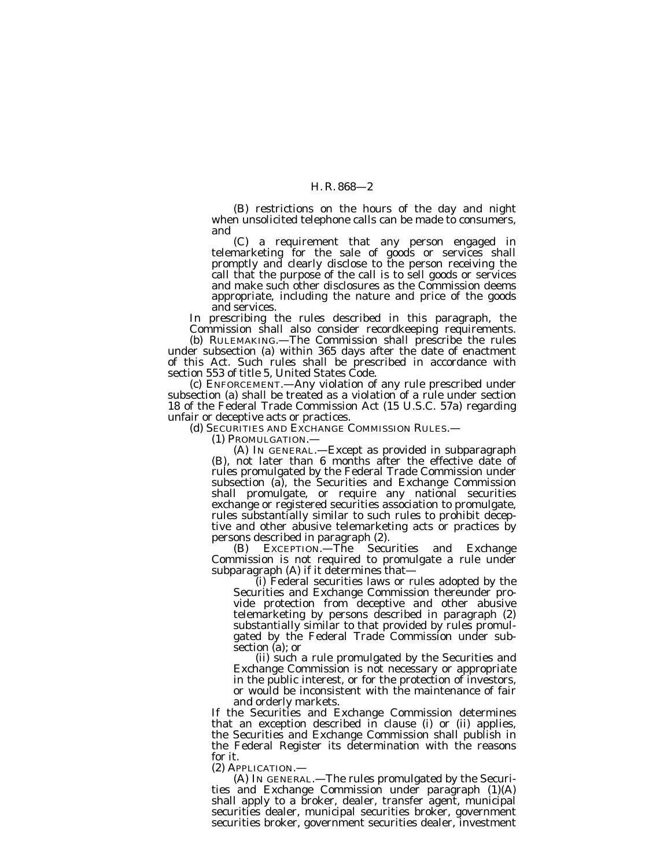(B) restrictions on the hours of the day and night when unsolicited telephone calls can be made to consumers, and

(C) a requirement that any person engaged in telemarketing for the sale of goods or services shall promptly and clearly disclose to the person receiving the call that the purpose of the call is to sell goods or services and make such other disclosures as the Commission deems appropriate, including the nature and price of the goods and services.

In prescribing the rules described in this paragraph, the Commission shall also consider recordkeeping requirements.

(b) RULEMAKING.—The Commission shall prescribe the rules under subsection (a) within 365 days after the date of enactment of this Act. Such rules shall be prescribed in accordance with section 553 of title 5, United States Code.

(c) ENFORCEMENT.—Any violation of any rule prescribed under subsection (a) shall be treated as a violation of a rule under section 18 of the Federal Trade Commission Act (15 U.S.C. 57a) regarding unfair or deceptive acts or practices.

(d) SECURITIES AND EXCHANGE COMMISSION RULES.—

(1) PROMULGATION.—

(A) IN GENERAL.—Except as provided in subparagraph (B), not later than 6 months after the effective date of rules promulgated by the Federal Trade Commission under subsection (a), the Securities and Exchange Commission shall promulgate, or require any national securities exchange or registered securities association to promulgate, rules substantially similar to such rules to prohibit deceptive and other abusive telemarketing acts or practices by persons described in paragraph (2).<br>
(B) Exception.—The Securities and Exchange

Commission is not required to promulgate a rule under<br>subparagraph  $(A)$  if it determines that—

(i) Federal securities laws or rules adopted by the Securities and Exchange Commission thereunder provide protection from deceptive and other abusive telemarketing by persons described in paragraph (2) substantially similar to that provided by rules promulgated by the Federal Trade Commission under subsection (a); or

(ii) such a rule promulgated by the Securities and Exchange Commission is not necessary or appropriate in the public interest, or for the protection of investors, or would be inconsistent with the maintenance of fair and orderly markets.

If the Securities and Exchange Commission determines that an exception described in clause (i) or (ii) applies, the Securities and Exchange Commission shall publish in the Federal Register its determination with the reasons for it.

(2) APPLICATION.—

(A) IN GENERAL.—The rules promulgated by the Securities and Exchange Commission under paragraph (1)(A) shall apply to a broker, dealer, transfer agent, municipal securities dealer, municipal securities broker, government securities broker, government securities dealer, investment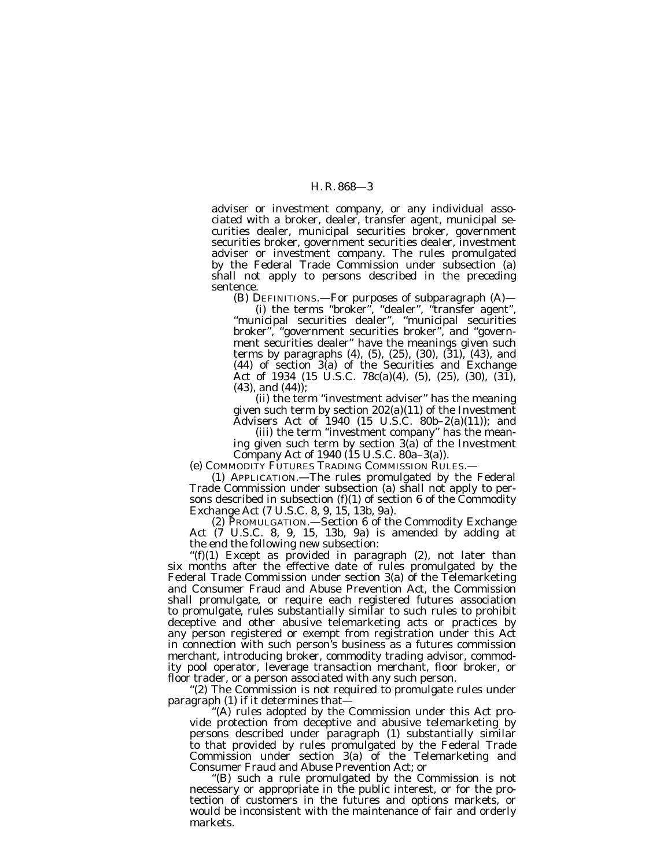adviser or investment company, or any individual associated with a broker, dealer, transfer agent, municipal securities dealer, municipal securities broker, government securities broker, government securities dealer, investment adviser or investment company. The rules promulgated by the Federal Trade Commission under subsection (a) shall not apply to persons described in the preceding sentence.

(B) DEFINITIONS.—For purposes of subparagraph (A)—

(i) the terms ''broker'', ''dealer'', ''transfer agent'', ''municipal securities dealer'', ''municipal securities broker'', ''government securities broker'', and ''government securities dealer'' have the meanings given such terms by paragraphs  $(4)$ ,  $(5)$ ,  $(25)$ ,  $(30)$ ,  $(31)$ ,  $(43)$ , and (44) of section 3(a) of the Securities and Exchange Act of 1934 (15 U.S.C. 78c(a)(4), (5), (25), (30), (31), (43), and (44));

(ii) the term ''investment adviser'' has the meaning given such term by section 202(a)(11) of the Investment Advisers Act of  $1940$  (15 U.S.C. 80b-2(a)(11)); and

(iii) the term ''investment company'' has the meaning given such term by section 3(a) of the Investment Company Act of 1940 (15 U.S.C. 80a–3(a)).

(e) COMMODITY FUTURES TRADING COMMISSION RULES.—

(1) APPLICATION.—The rules promulgated by the Federal Trade Commission under subsection (a) shall not apply to persons described in subsection  $(f)(1)$  of section 6 of the Commodity Exchange Act (7 U.S.C. 8, 9, 15, 13b, 9a).

(2) PROMULGATION.—Section 6 of the Commodity Exchange Act (7 U.S.C. 8, 9, 15, 13b, 9a) is amended by adding at the end the following new subsection:

" $(f)(1)$  Except as provided in paragraph  $(2)$ , not later than six months after the effective date of rules promulgated by the Federal Trade Commission under section 3(a) of the Telemarketing and Consumer Fraud and Abuse Prevention Act, the Commission shall promulgate, or require each registered futures association to promulgate, rules substantially similar to such rules to prohibit deceptive and other abusive telemarketing acts or practices by any person registered or exempt from registration under this Act in connection with such person's business as a futures commission merchant, introducing broker, commodity trading advisor, commodity pool operator, leverage transaction merchant, floor broker, or floor trader, or a person associated with any such person.

"(2) The Commission is not required to promulgate rules under paragraph (1) if it determines that—

''(A) rules adopted by the Commission under this Act provide protection from deceptive and abusive telemarketing by persons described under paragraph (1) substantially similar to that provided by rules promulgated by the Federal Trade Commission under section 3(a) of the Telemarketing and Consumer Fraud and Abuse Prevention Act; or

''(B) such a rule promulgated by the Commission is not necessary or appropriate in the public interest, or for the protection of customers in the futures and options markets, or would be inconsistent with the maintenance of fair and orderly markets.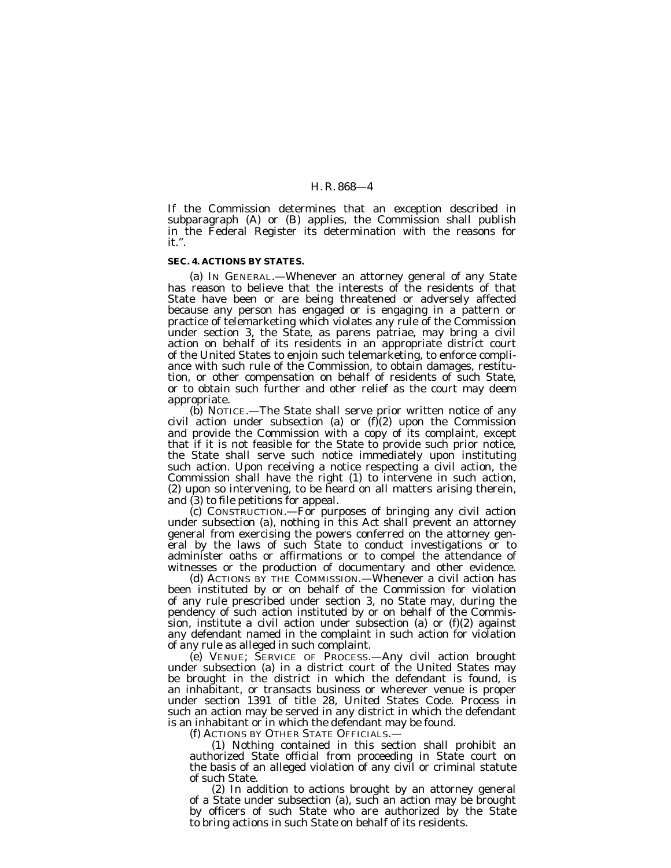If the Commission determines that an exception described in subparagraph (A) or (B) applies, the Commission shall publish in the Federal Register its determination with the reasons for it.''.

#### **SEC. 4. ACTIONS BY STATES.**

(a) IN GENERAL.—Whenever an attorney general of any State has reason to believe that the interests of the residents of that State have been or are being threatened or adversely affected because any person has engaged or is engaging in a pattern or practice of telemarketing which violates any rule of the Commission under section 3, the State, as parens patriae, may bring a civil action on behalf of its residents in an appropriate district court of the United States to enjoin such telemarketing, to enforce compliance with such rule of the Commission, to obtain damages, restitution, or other compensation on behalf of residents of such State, or to obtain such further and other relief as the court may deem appropriate.

(b) NOTICE.—The State shall serve prior written notice of any civil action under subsection (a) or  $(f)(2)$  upon the Commission and provide the Commission with a copy of its complaint, except that if it is not feasible for the State to provide such prior notice, the State shall serve such notice immediately upon instituting such action. Upon receiving a notice respecting a civil action, the Commission shall have the right (1) to intervene in such action, (2) upon so intervening, to be heard on all matters arising therein, and (3) to file petitions for appeal.

(c) CONSTRUCTION.—For purposes of bringing any civil action under subsection (a), nothing in this Act shall prevent an attorney general from exercising the powers conferred on the attorney general by the laws of such State to conduct investigations or to administer oaths or affirmations or to compel the attendance of witnesses or the production of documentary and other evidence.

(d) ACTIONS BY THE COMMISSION.—Whenever a civil action has been instituted by or on behalf of the Commission for violation of any rule prescribed under section 3, no State may, during the pendency of such action instituted by or on behalf of the Commission, institute a civil action under subsection (a) or (f)(2) against any defendant named in the complaint in such action for violation of any rule as alleged in such complaint.

(e) VENUE; SERVICE OF PROCESS.—Any civil action brought under subsection (a) in a district court of the United States may be brought in the district in which the defendant is found, is an inhabitant, or transacts business or wherever venue is proper under section 1391 of title 28, United States Code. Process in such an action may be served in any district in which the defendant is an inhabitant or in which the defendant may be found.

(f) ACTIONS BY OTHER STATE OFFICIALS.—

(1) Nothing contained in this section shall prohibit an authorized State official from proceeding in State court on the basis of an alleged violation of any civil or criminal statute of such State.

(2) In addition to actions brought by an attorney general of a State under subsection (a), such an action may be brought by officers of such State who are authorized by the State to bring actions in such State on behalf of its residents.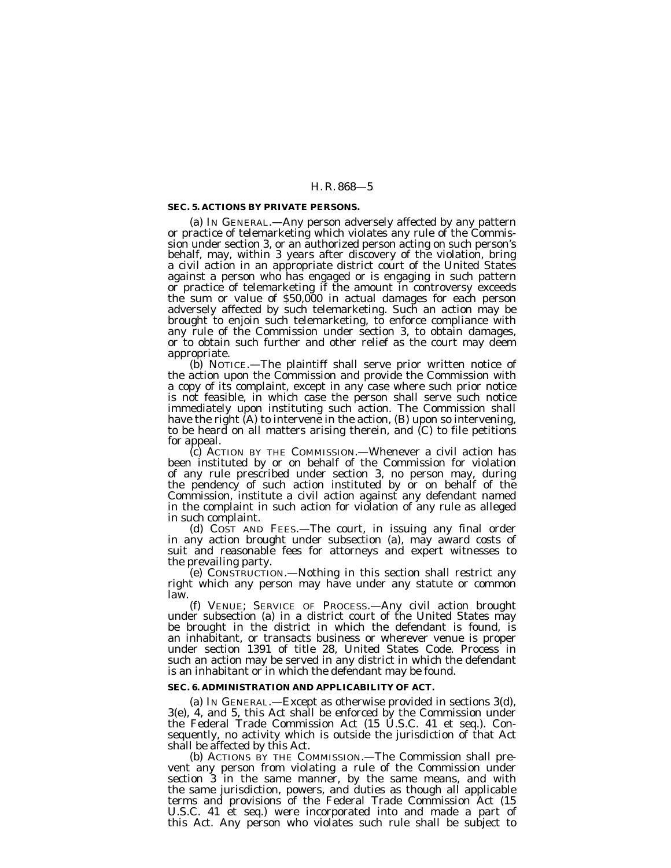#### **SEC. 5. ACTIONS BY PRIVATE PERSONS.**

(a) IN GENERAL.—Any person adversely affected by any pattern or practice of telemarketing which violates any rule of the Commission under section 3, or an authorized person acting on such person's behalf, may, within 3 years after discovery of the violation, bring a civil action in an appropriate district court of the United States against a person who has engaged or is engaging in such pattern or practice of telemarketing if the amount in controversy exceeds the sum or value of \$50,000 in actual damages for each person adversely affected by such telemarketing. Such an action may be brought to enjoin such telemarketing, to enforce compliance with any rule of the Commission under section 3, to obtain damages, or to obtain such further and other relief as the court may deem appropriate.

(b) NOTICE.—The plaintiff shall serve prior written notice of the action upon the Commission and provide the Commission with a copy of its complaint, except in any case where such prior notice is not feasible, in which case the person shall serve such notice immediately upon instituting such action. The Commission shall have the right (A) to intervene in the action, (B) upon so intervening, to be heard on all matters arising therein, and (C) to file petitions for appeal.

(c) ACTION BY THE COMMISSION.—Whenever a civil action has been instituted by or on behalf of the Commission for violation of any rule prescribed under section 3, no person may, during the pendency of such action instituted by or on behalf of the Commission, institute a civil action against any defendant named in the complaint in such action for violation of any rule as alleged in such complaint.

(d) COST AND FEES.—The court, in issuing any final order in any action brought under subsection (a), may award costs of suit and reasonable fees for attorneys and expert witnesses to the prevailing party.

(e) CONSTRUCTION.—Nothing in this section shall restrict any right which any person may have under any statute or common law.

(f) VENUE; SERVICE OF PROCESS.—Any civil action brought under subsection (a) in a district court of the United States may be brought in the district in which the defendant is found, is an inhabitant, or transacts business or wherever venue is proper under section 1391 of title 28, United States Code. Process in such an action may be served in any district in which the defendant is an inhabitant or in which the defendant may be found.

# **SEC. 6. ADMINISTRATION AND APPLICABILITY OF ACT.**

(a) IN GENERAL.—Except as otherwise provided in sections 3(d), 3(e), 4, and 5, this Act shall be enforced by the Commission under the Federal Trade Commission Act (15 U.S.C. 41 et seq.). Consequently, no activity which is outside the jurisdiction of that Act shall be affected by this Act.

(b) ACTIONS BY THE COMMISSION.—The Commission shall prevent any person from violating a rule of the Commission under section 3 in the same manner, by the same means, and with the same jurisdiction, powers, and duties as though all applicable terms and provisions of the Federal Trade Commission Act (15 U.S.C. 41 et seq.) were incorporated into and made a part of this Act. Any person who violates such rule shall be subject to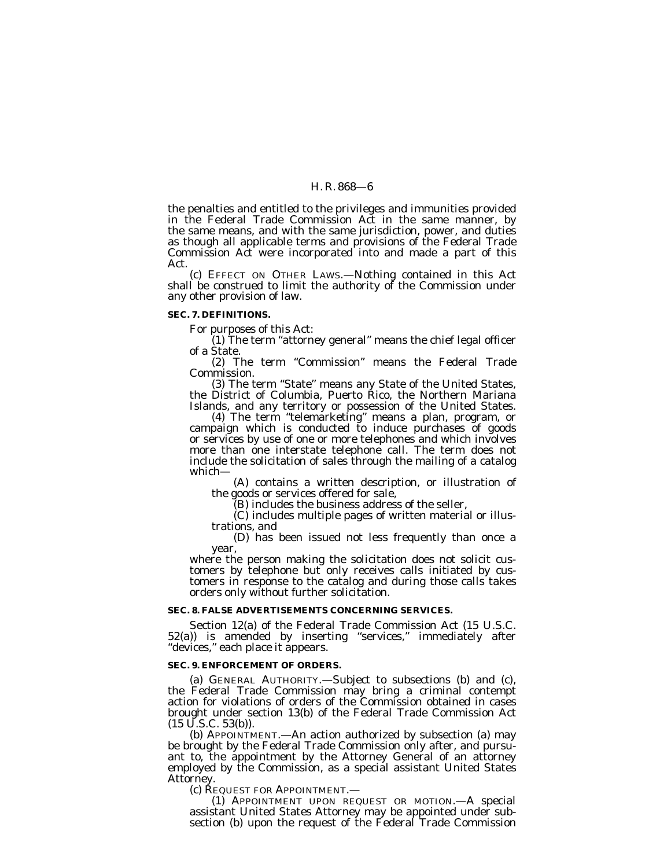the penalties and entitled to the privileges and immunities provided in the Federal Trade Commission Act in the same manner, by the same means, and with the same jurisdiction, power, and duties as though all applicable terms and provisions of the Federal Trade Commission Act were incorporated into and made a part of this Act.

(c) EFFECT ON OTHER LAWS.—Nothing contained in this Act shall be construed to limit the authority of the Commission under any other provision of law.

#### **SEC. 7. DEFINITIONS.**

For purposes of this Act:

(1) The term ''attorney general'' means the chief legal officer of a State.

(2) The term ''Commission'' means the Federal Trade Commission.

(3) The term ''State'' means any State of the United States, the District of Columbia, Puerto Řico, the Northern Mariana Islands, and any territory or possession of the United States.

(4) The term ''telemarketing'' means a plan, program, or campaign which is conducted to induce purchases of goods or services by use of one or more telephones and which involves more than one interstate telephone call. The term does not include the solicitation of sales through the mailing of a catalog which—

(A) contains a written description, or illustration of the goods or services offered for sale,

(B) includes the business address of the seller,

(C) includes multiple pages of written material or illustrations, and

(D) has been issued not less frequently than once a year,

where the person making the solicitation does not solicit customers by telephone but only receives calls initiated by customers in response to the catalog and during those calls takes orders only without further solicitation.

#### **SEC. 8. FALSE ADVERTISEMENTS CONCERNING SERVICES.**

Section 12(a) of the Federal Trade Commission Act (15 U.S.C. 52(a)) is amended by inserting ''services,'' immediately after ''devices,'' each place it appears.

# **SEC. 9. ENFORCEMENT OF ORDERS.**

(a) GENERAL AUTHORITY.—Subject to subsections (b) and (c), the Federal Trade Commission may bring a criminal contempt action for violations of orders of the Commission obtained in cases brought under section 13(b) of the Federal Trade Commission Act  $(15 \text{ U.S.C. } 53(b)).$ 

(b) APPOINTMENT.—An action authorized by subsection (a) may be brought by the Federal Trade Commission only after, and pursuant to, the appointment by the Attorney General of an attorney employed by the Commission, as a special assistant United States Attorney.

(c) REQUEST FOR APPOINTMENT.—

(1) APPOINTMENT UPON REQUEST OR MOTION.—A special assistant United States Attorney may be appointed under subsection (b) upon the request of the Federal Trade Commission